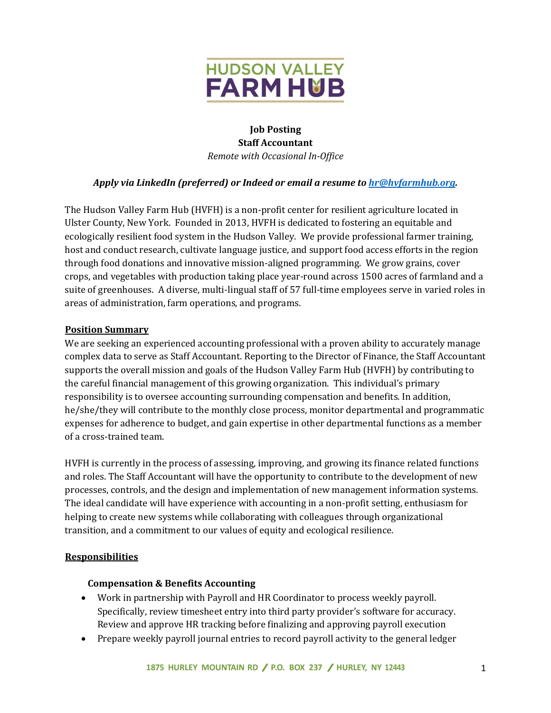

# **Job Posting Staff Accountant** *Remote with Occasional In-Office*

# *Apply via LinkedIn (preferred) or Indeed or email a resume to hr@hvfarmhub.org.*

The Hudson Valley Farm Hub (HVFH) is a non-profit center for resilient agriculture located in Ulster County, New York. Founded in 2013, HVFH is dedicated to fostering an equitable and ecologically resilient food system in the Hudson Valley. We provide professional farmer training, host and conduct research, cultivate language justice, and support food access efforts in the region through food donations and innovative mission-aligned programming. We grow grains, cover crops, and vegetables with production taking place year-round across 1500 acres of farmland and a suite of greenhouses. A diverse, multi-lingual staff of 57 full-time employees serve in varied roles in areas of administration, farm operations, and programs.

## **Position Summary**

We are seeking an experienced accounting professional with a proven ability to accurately manage complex data to serve as Staff Accountant. Reporting to the Director of Finance, the Staff Accountant supports the overall mission and goals of the Hudson Valley Farm Hub (HVFH) by contributing to the careful financial management of this growing organization. This individual's primary responsibility is to oversee accounting surrounding compensation and benefits. In addition, he/she/they will contribute to the monthly close process, monitor departmental and programmatic expenses for adherence to budget, and gain expertise in other departmental functions as a member of a cross-trained team.

HVFH is currently in the process of assessing, improving, and growing its finance related functions and roles. The Staff Accountant will have the opportunity to contribute to the development of new processes, controls, and the design and implementation of new management information systems. The ideal candidate will have experience with accounting in a non-profit setting, enthusiasm for helping to create new systems while collaborating with colleagues through organizational transition, and a commitment to our values of equity and ecological resilience.

#### **Responsibilities**

#### **Compensation & Benefits Accounting**

- Work in partnership with Payroll and HR Coordinator to process weekly payroll. Specifically, review timesheet entry into third party provider's software for accuracy. Review and approve HR tracking before finalizing and approving payroll execution
- Prepare weekly payroll journal entries to record payroll activity to the general ledger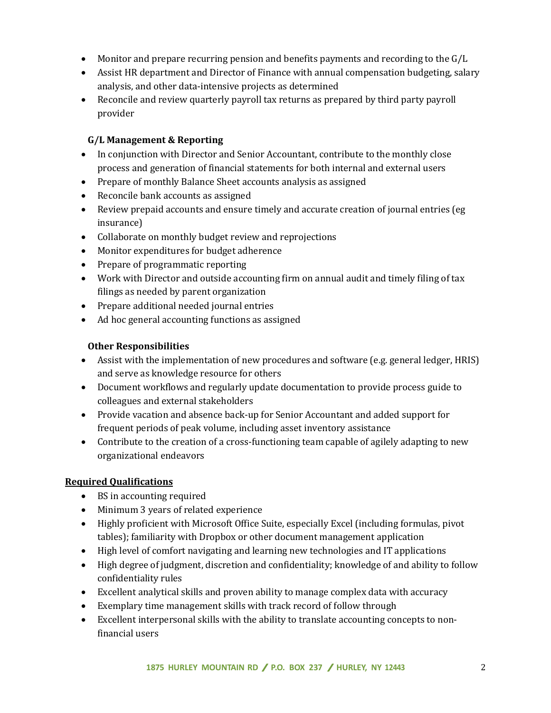- Monitor and prepare recurring pension and benefits payments and recording to the  $G/L$
- Assist HR department and Director of Finance with annual compensation budgeting, salary analysis, and other data-intensive projects as determined
- Reconcile and review quarterly payroll tax returns as prepared by third party payroll provider

# **G/L Management & Reporting**

- In conjunction with Director and Senior Accountant, contribute to the monthly close process and generation of financial statements for both internal and external users
- Prepare of monthly Balance Sheet accounts analysis as assigned
- Reconcile bank accounts as assigned
- Review prepaid accounts and ensure timely and accurate creation of journal entries (eg insurance)
- Collaborate on monthly budget review and reprojections
- Monitor expenditures for budget adherence
- Prepare of programmatic reporting
- Work with Director and outside accounting firm on annual audit and timely filing of tax filings as needed by parent organization
- Prepare additional needed journal entries
- Ad hoc general accounting functions as assigned

## **Other Responsibilities**

- Assist with the implementation of new procedures and software (e.g. general ledger, HRIS) and serve as knowledge resource for others
- Document workflows and regularly update documentation to provide process guide to colleagues and external stakeholders
- Provide vacation and absence back-up for Senior Accountant and added support for frequent periods of peak volume, including asset inventory assistance
- Contribute to the creation of a cross-functioning team capable of agilely adapting to new organizational endeavors

## **Required Qualifications**

- BS in accounting required
- Minimum 3 years of related experience
- Highly proficient with Microsoft Office Suite, especially Excel (including formulas, pivot tables); familiarity with Dropbox or other document management application
- High level of comfort navigating and learning new technologies and IT applications
- High degree of judgment, discretion and confidentiality; knowledge of and ability to follow confidentiality rules
- Excellent analytical skills and proven ability to manage complex data with accuracy
- Exemplary time management skills with track record of follow through
- Excellent interpersonal skills with the ability to translate accounting concepts to nonfinancial users